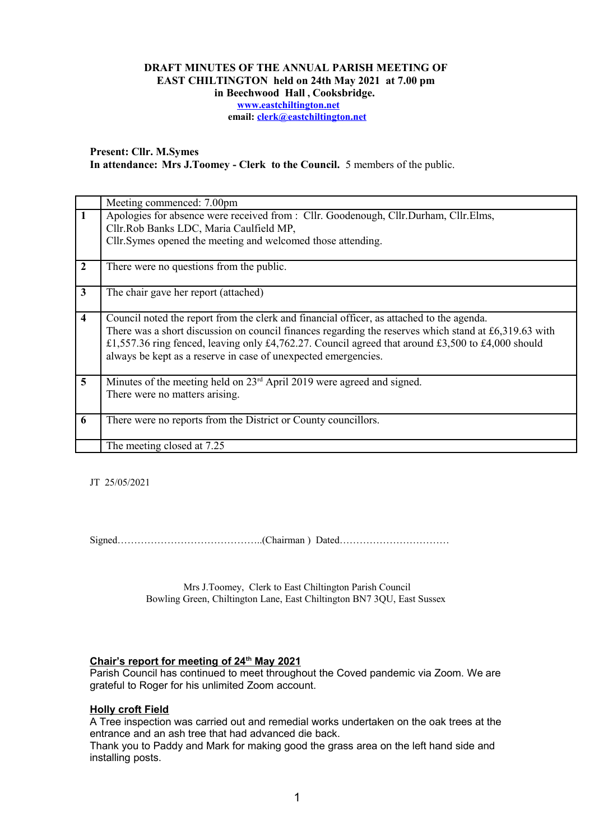## **DRAFT MINUTES OF THE ANNUAL PARISH MEETING OF EAST CHILTINGTON held on 24th May 2021 at 7.00 pm in Beechwood Hall , Cooksbridge. [www.eastchiltington.net](http://www.eastchiltington.net/)**

**email: [clerk@eastchiltington.net](mailto:clerk@eastchiltington.net)**

**Present: Cllr. M.Symes In attendance: Mrs J.Toomey - Clerk to the Council.** 5 members of the public.

|                         | Meeting commenced: 7.00pm                                                                                                                                           |
|-------------------------|---------------------------------------------------------------------------------------------------------------------------------------------------------------------|
| $\mathbf{1}$            | Apologies for absence were received from : Cllr. Goodenough, Cllr.Durham, Cllr.Elms,                                                                                |
|                         | Cllr.Rob Banks LDC, Maria Caulfield MP,                                                                                                                             |
|                         | Cllr. Symes opened the meeting and welcomed those attending.                                                                                                        |
| $\overline{2}$          | There were no questions from the public.                                                                                                                            |
| $\mathbf{3}$            | The chair gave her report (attached)                                                                                                                                |
| $\overline{\mathbf{4}}$ | Council noted the report from the clerk and financial officer, as attached to the agenda.                                                                           |
|                         | There was a short discussion on council finances regarding the reserves which stand at £6,319.63 with                                                               |
|                         | £1,557.36 ring fenced, leaving only £4,762.27. Council agreed that around £3,500 to £4,000 should<br>always be kept as a reserve in case of unexpected emergencies. |
|                         |                                                                                                                                                                     |
| $5\overline{)}$         | Minutes of the meeting held on $23rd$ April 2019 were agreed and signed.                                                                                            |
|                         | There were no matters arising.                                                                                                                                      |
|                         |                                                                                                                                                                     |
| 6                       | There were no reports from the District or County councillors.                                                                                                      |
|                         |                                                                                                                                                                     |
|                         | The meeting closed at 7.25                                                                                                                                          |

JT 25/05/2021

Signed……………………………………..(Chairman ) Dated……………………………

Mrs J.Toomey, Clerk to East Chiltington Parish Council Bowling Green, Chiltington Lane, East Chiltington BN7 3QU, East Sussex

### **Chair's report for meeting of 24th May 2021**

Parish Council has continued to meet throughout the Coved pandemic via Zoom. We are grateful to Roger for his unlimited Zoom account.

#### **Holly croft Field**

A Tree inspection was carried out and remedial works undertaken on the oak trees at the entrance and an ash tree that had advanced die back.

Thank you to Paddy and Mark for making good the grass area on the left hand side and installing posts.